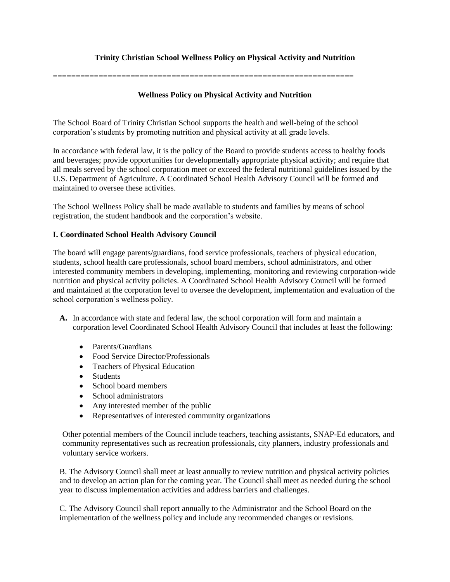# **Trinity Christian School Wellness Policy on Physical Activity and Nutrition**

==================================================================

### **Wellness Policy on Physical Activity and Nutrition**

The School Board of Trinity Christian School supports the health and well-being of the school corporation's students by promoting nutrition and physical activity at all grade levels.

In accordance with federal law, it is the policy of the Board to provide students access to healthy foods and beverages; provide opportunities for developmentally appropriate physical activity; and require that all meals served by the school corporation meet or exceed the federal nutritional guidelines issued by the U.S. Department of Agriculture. A Coordinated School Health Advisory Council will be formed and maintained to oversee these activities.

The School Wellness Policy shall be made available to students and families by means of school registration, the student handbook and the corporation's website.

#### **I. Coordinated School Health Advisory Council**

The board will engage parents/guardians, food service professionals, teachers of physical education, students, school health care professionals, school board members, school administrators, and other interested community members in developing, implementing, monitoring and reviewing corporation-wide nutrition and physical activity policies. A Coordinated School Health Advisory Council will be formed and maintained at the corporation level to oversee the development, implementation and evaluation of the school corporation's wellness policy.

- **A.** In accordance with state and federal law, the school corporation will form and maintain a corporation level Coordinated School Health Advisory Council that includes at least the following:
	- Parents/Guardians
	- Food Service Director/Professionals
	- Teachers of Physical Education
	- Students
	- School board members
	- School administrators
	- Any interested member of the public
	- Representatives of interested community organizations

Other potential members of the Council include teachers, teaching assistants, SNAP-Ed educators, and community representatives such as recreation professionals, city planners, industry professionals and voluntary service workers.

B. The Advisory Council shall meet at least annually to review nutrition and physical activity policies and to develop an action plan for the coming year. The Council shall meet as needed during the school year to discuss implementation activities and address barriers and challenges.

C. The Advisory Council shall report annually to the Administrator and the School Board on the implementation of the wellness policy and include any recommended changes or revisions.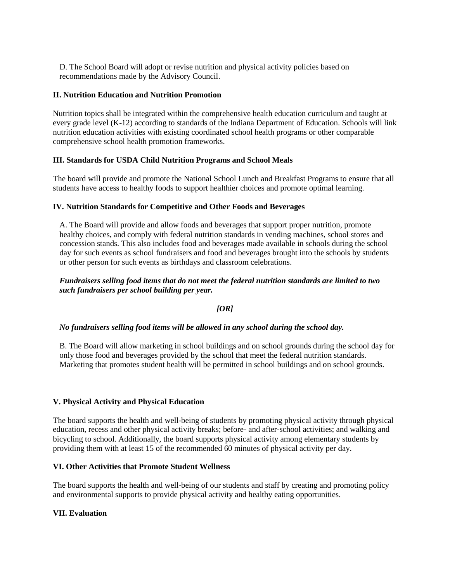D. The School Board will adopt or revise nutrition and physical activity policies based on recommendations made by the Advisory Council.

### **II. Nutrition Education and Nutrition Promotion**

Nutrition topics shall be integrated within the comprehensive health education curriculum and taught at every grade level (K-12) according to standards of the Indiana Department of Education. Schools will link nutrition education activities with existing coordinated school health programs or other comparable comprehensive school health promotion frameworks.

# **III. Standards for USDA Child Nutrition Programs and School Meals**

The board will provide and promote the National School Lunch and Breakfast Programs to ensure that all students have access to healthy foods to support healthier choices and promote optimal learning.

# **IV. Nutrition Standards for Competitive and Other Foods and Beverages**

A. The Board will provide and allow foods and beverages that support proper nutrition, promote healthy choices, and comply with federal nutrition standards in vending machines, school stores and concession stands. This also includes food and beverages made available in schools during the school day for such events as school fundraisers and food and beverages brought into the schools by students or other person for such events as birthdays and classroom celebrations.

# *Fundraisers selling food items that do not meet the federal nutrition standards are limited to two such fundraisers per school building per year.*

#### *[OR]*

#### *No fundraisers selling food items will be allowed in any school during the school day.*

B. The Board will allow marketing in school buildings and on school grounds during the school day for only those food and beverages provided by the school that meet the federal nutrition standards. Marketing that promotes student health will be permitted in school buildings and on school grounds.

#### **V. Physical Activity and Physical Education**

The board supports the health and well-being of students by promoting physical activity through physical education, recess and other physical activity breaks; before- and after-school activities; and walking and bicycling to school. Additionally, the board supports physical activity among elementary students by providing them with at least 15 of the recommended 60 minutes of physical activity per day.

#### **VI. Other Activities that Promote Student Wellness**

The board supports the health and well-being of our students and staff by creating and promoting policy and environmental supports to provide physical activity and healthy eating opportunities.

# **VII. Evaluation**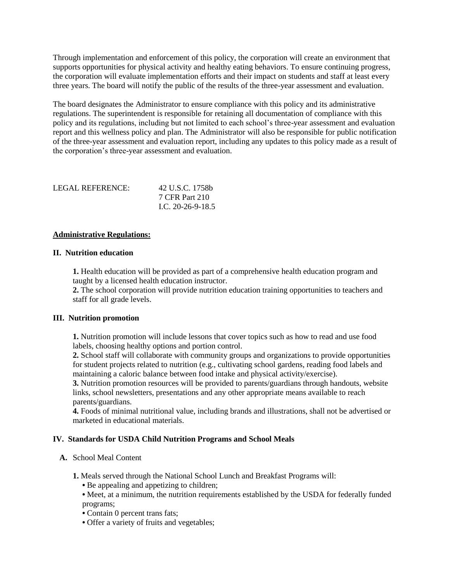Through implementation and enforcement of this policy, the corporation will create an environment that supports opportunities for physical activity and healthy eating behaviors. To ensure continuing progress, the corporation will evaluate implementation efforts and their impact on students and staff at least every three years. The board will notify the public of the results of the three-year assessment and evaluation.

The board designates the Administrator to ensure compliance with this policy and its administrative regulations. The superintendent is responsible for retaining all documentation of compliance with this policy and its regulations, including but not limited to each school's three-year assessment and evaluation report and this wellness policy and plan. The Administrator will also be responsible for public notification of the three-year assessment and evaluation report, including any updates to this policy made as a result of the corporation's three-year assessment and evaluation.

| LEGAL REFERENCE: | 42 U.S.C. 1758b   |
|------------------|-------------------|
|                  | 7 CFR Part 210    |
|                  | L.C. 20-26-9-18.5 |

#### **Administrative Regulations:**

### **II. Nutrition education**

**1.** Health education will be provided as part of a comprehensive health education program and taught by a licensed health education instructor.

**2.** The school corporation will provide nutrition education training opportunities to teachers and staff for all grade levels.

#### **III. Nutrition promotion**

**1.** Nutrition promotion will include lessons that cover topics such as how to read and use food labels, choosing healthy options and portion control.

**2.** School staff will collaborate with community groups and organizations to provide opportunities for student projects related to nutrition (e.g., cultivating school gardens, reading food labels and maintaining a caloric balance between food intake and physical activity/exercise).

**3.** Nutrition promotion resources will be provided to parents/guardians through handouts, website links, school newsletters, presentations and any other appropriate means available to reach parents/guardians.

**4.** Foods of minimal nutritional value, including brands and illustrations, shall not be advertised or marketed in educational materials.

#### **IV. Standards for USDA Child Nutrition Programs and School Meals**

- **A.** School Meal Content
	- **1.** Meals served through the National School Lunch and Breakfast Programs will:
		- Be appealing and appetizing to children;
		- Meet, at a minimum, the nutrition requirements established by the USDA for federally funded programs;
		- Contain 0 percent trans fats;
		- Offer a variety of fruits and vegetables;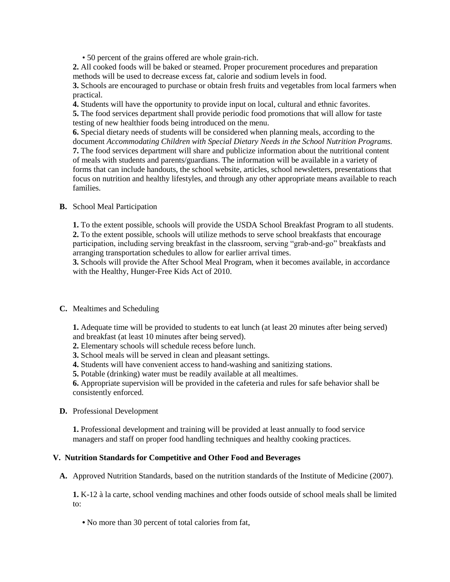• 50 percent of the grains offered are whole grain-rich.

**2.** All cooked foods will be baked or steamed. Proper procurement procedures and preparation methods will be used to decrease excess fat, calorie and sodium levels in food.

**3.** Schools are encouraged to purchase or obtain fresh fruits and vegetables from local farmers when practical.

**4.** Students will have the opportunity to provide input on local, cultural and ethnic favorites.

**5.** The food services department shall provide periodic food promotions that will allow for taste testing of new healthier foods being introduced on the menu.

**6.** Special dietary needs of students will be considered when planning meals, according to the document *Accommodating Children with Special Dietary Needs in the School Nutrition Programs.* **7.** The food services department will share and publicize information about the nutritional content of meals with students and parents/guardians. The information will be available in a variety of forms that can include handouts, the school website, articles, school newsletters, presentations that focus on nutrition and healthy lifestyles, and through any other appropriate means available to reach families.

#### **B.** School Meal Participation

**1.** To the extent possible, schools will provide the USDA School Breakfast Program to all students. **2.** To the extent possible, schools will utilize methods to serve school breakfasts that encourage participation, including serving breakfast in the classroom, serving "grab-and-go" breakfasts and arranging transportation schedules to allow for earlier arrival times.

**3.** Schools will provide the After School Meal Program, when it becomes available, in accordance with the Healthy, Hunger-Free Kids Act of 2010.

#### **C.** Mealtimes and Scheduling

**1.** Adequate time will be provided to students to eat lunch (at least 20 minutes after being served) and breakfast (at least 10 minutes after being served).

- **2.** Elementary schools will schedule recess before lunch.
- **3.** School meals will be served in clean and pleasant settings.
- **4.** Students will have convenient access to hand-washing and sanitizing stations.

**5.** Potable (drinking) water must be readily available at all mealtimes.

**6.** Appropriate supervision will be provided in the cafeteria and rules for safe behavior shall be consistently enforced.

**D.** Professional Development

**1.** Professional development and training will be provided at least annually to food service managers and staff on proper food handling techniques and healthy cooking practices.

#### **V. Nutrition Standards for Competitive and Other Food and Beverages**

**A.** Approved Nutrition Standards, based on the nutrition standards of the Institute of Medicine (2007).

**1.** K-12 à la carte, school vending machines and other foods outside of school meals shall be limited to:

**•** No more than 30 percent of total calories from fat,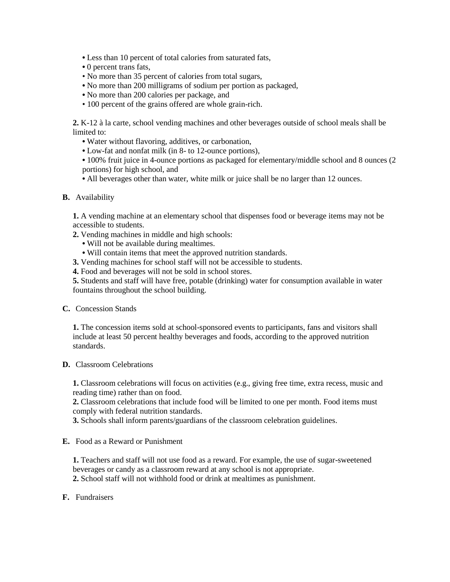- Less than 10 percent of total calories from saturated fats,
- 0 percent trans fats,
- No more than 35 percent of calories from total sugars,
- No more than 200 milligrams of sodium per portion as packaged,
- No more than 200 calories per package, and
- 100 percent of the grains offered are whole grain-rich.

**2.** K-12 à la carte, school vending machines and other beverages outside of school meals shall be limited to:

- Water without flavoring, additives, or carbonation,
- Low-fat and nonfat milk (in 8- to 12-ounce portions),

**•** 100% fruit juice in 4-ounce portions as packaged for elementary/middle school and 8 ounces (2 portions) for high school, and

**•** All beverages other than water, white milk or juice shall be no larger than 12 ounces.

**B.** Availability

**1.** A vending machine at an elementary school that dispenses food or beverage items may not be accessible to students.

- **2.** Vending machines in middle and high schools:
	- Will not be available during mealtimes.
	- Will contain items that meet the approved nutrition standards.
- **3.** Vending machines for school staff will not be accessible to students.
- **4.** Food and beverages will not be sold in school stores.

**5.** Students and staff will have free, potable (drinking) water for consumption available in water fountains throughout the school building.

**C.** Concession Stands

**1.** The concession items sold at school-sponsored events to participants, fans and visitors shall include at least 50 percent healthy beverages and foods, according to the approved nutrition standards.

**D.** Classroom Celebrations

**1.** Classroom celebrations will focus on activities (e.g., giving free time, extra recess, music and reading time) rather than on food.

**2.** Classroom celebrations that include food will be limited to one per month. Food items must comply with federal nutrition standards.

**3.** Schools shall inform parents/guardians of the classroom celebration guidelines.

**E.** Food as a Reward or Punishment

**1.** Teachers and staff will not use food as a reward. For example, the use of sugar-sweetened beverages or candy as a classroom reward at any school is not appropriate.

**2.** School staff will not withhold food or drink at mealtimes as punishment.

**F.** Fundraisers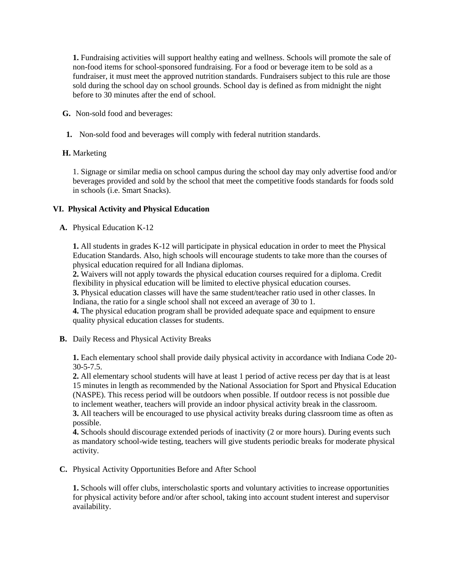**1.** Fundraising activities will support healthy eating and wellness. Schools will promote the sale of non-food items for school-sponsored fundraising. For a food or beverage item to be sold as a fundraiser, it must meet the approved nutrition standards. Fundraisers subject to this rule are those sold during the school day on school grounds. School day is defined as from midnight the night before to 30 minutes after the end of school.

**G.** Non-sold food and beverages:

**1.** Non-sold food and beverages will comply with federal nutrition standards.

# **H.** Marketing

1. Signage or similar media on school campus during the school day may only advertise food and/or beverages provided and sold by the school that meet the competitive foods standards for foods sold in schools (i.e. Smart Snacks).

# **VI. Physical Activity and Physical Education**

**A.** Physical Education K-12

**1.** All students in grades K-12 will participate in physical education in order to meet the Physical Education Standards. Also, high schools will encourage students to take more than the courses of physical education required for all Indiana diplomas.

**2.** Waivers will not apply towards the physical education courses required for a diploma. Credit flexibility in physical education will be limited to elective physical education courses.

**3.** Physical education classes will have the same student/teacher ratio used in other classes. In Indiana, the ratio for a single school shall not exceed an average of 30 to 1.

**4.** The physical education program shall be provided adequate space and equipment to ensure quality physical education classes for students.

**B.** Daily Recess and Physical Activity Breaks

**1.** Each elementary school shall provide daily physical activity in accordance with Indiana Code 20- 30-5-7.5.

**2.** All elementary school students will have at least 1 period of active recess per day that is at least 15 minutes in length as recommended by the National Association for Sport and Physical Education (NASPE). This recess period will be outdoors when possible. If outdoor recess is not possible due to inclement weather, teachers will provide an indoor physical activity break in the classroom. **3.** All teachers will be encouraged to use physical activity breaks during classroom time as often as possible.

**4.** Schools should discourage extended periods of inactivity (2 or more hours). During events such as mandatory school-wide testing, teachers will give students periodic breaks for moderate physical activity.

**C.** Physical Activity Opportunities Before and After School

**1.** Schools will offer clubs, interscholastic sports and voluntary activities to increase opportunities for physical activity before and/or after school, taking into account student interest and supervisor availability.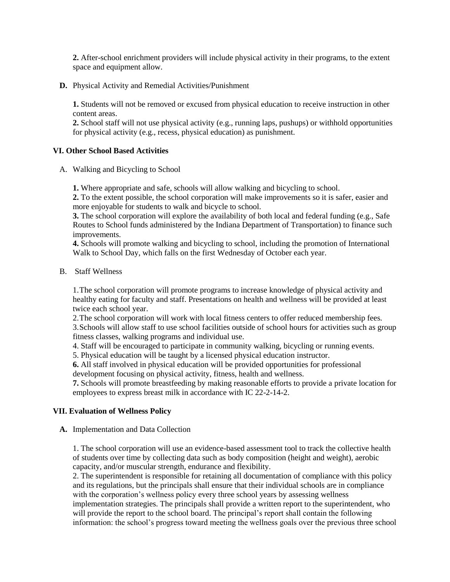**2.** After-school enrichment providers will include physical activity in their programs, to the extent space and equipment allow.

**D.** Physical Activity and Remedial Activities/Punishment

**1.** Students will not be removed or excused from physical education to receive instruction in other content areas.

**2.** School staff will not use physical activity (e.g., running laps, pushups) or withhold opportunities for physical activity (e.g., recess, physical education) as punishment.

#### **VI. Other School Based Activities**

A. Walking and Bicycling to School

**1.** Where appropriate and safe, schools will allow walking and bicycling to school.

**2.** To the extent possible, the school corporation will make improvements so it is safer, easier and more enjoyable for students to walk and bicycle to school.

**3.** The school corporation will explore the availability of both local and federal funding (e.g., Safe Routes to School funds administered by the Indiana Department of Transportation) to finance such improvements.

**4.** Schools will promote walking and bicycling to school, including the promotion of International Walk to School Day, which falls on the first Wednesday of October each year.

B. Staff Wellness

1.The school corporation will promote programs to increase knowledge of physical activity and healthy eating for faculty and staff. Presentations on health and wellness will be provided at least twice each school year.

2.The school corporation will work with local fitness centers to offer reduced membership fees.

3.Schools will allow staff to use school facilities outside of school hours for activities such as group fitness classes, walking programs and individual use.

4. Staff will be encouraged to participate in community walking, bicycling or running events.

5. Physical education will be taught by a licensed physical education instructor.

**6.** All staff involved in physical education will be provided opportunities for professional development focusing on physical activity, fitness, health and wellness.

**7.** Schools will promote breastfeeding by making reasonable efforts to provide a private location for employees to express breast milk in accordance with IC 22-2-14-2.

#### **VII. Evaluation of Wellness Policy**

**A.** Implementation and Data Collection

1. The school corporation will use an evidence-based assessment tool to track the collective health of students over time by collecting data such as body composition (height and weight), aerobic capacity, and/or muscular strength, endurance and flexibility.

2. The superintendent is responsible for retaining all documentation of compliance with this policy and its regulations, but the principals shall ensure that their individual schools are in compliance with the corporation's wellness policy every three school years by assessing wellness implementation strategies. The principals shall provide a written report to the superintendent, who will provide the report to the school board. The principal's report shall contain the following information: the school's progress toward meeting the wellness goals over the previous three school